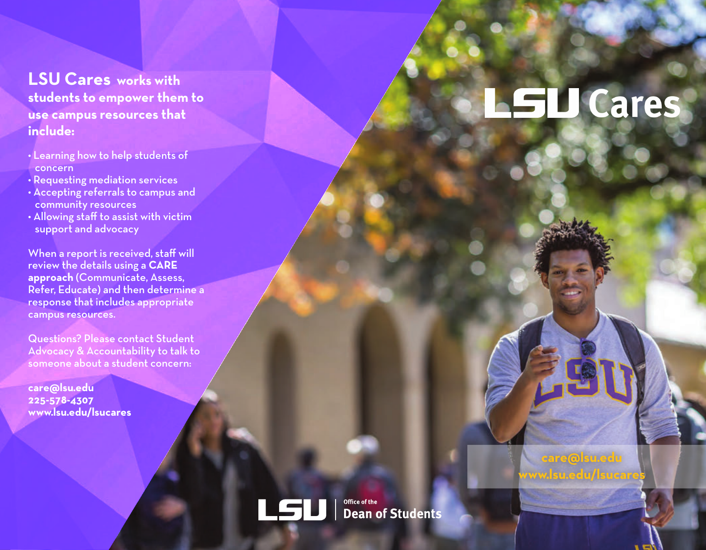# **LSU Cares works with students to empower them to use campus resources that include:**

- Learning how to help students of concern
- Requesting mediation services
- Accepting referrals to campus and community resources
- Allowing staff to assist with victim support and advocacy

When a report is received, staff will review the details using a **CARE approach** (Communicate, Assess, Refer, Educate) and then determine a response that includes appropriate campus resources.

Questions? Please contact Student Advocacy & Accountability to talk to someone about a student concern:

**care@lsu.edu 225-578-4307 www.lsu.edu/lsucares**

# **LSU** Cares

**LSU** Office of the **Dean of Students** 

**care@lsu.edu www.lsu.edu/lsucares**